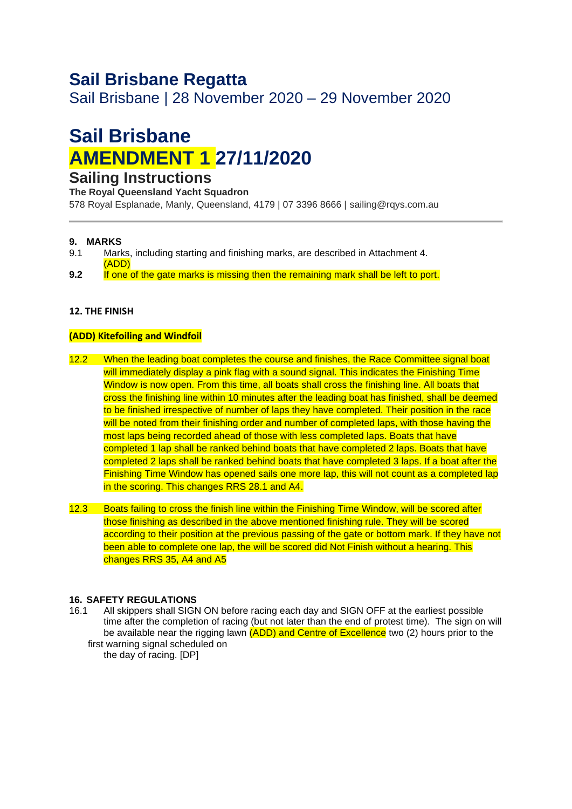## **Sail Brisbane Regatta**

Sail Brisbane | 28 November 2020 – 29 November 2020

# **Sail Brisbane AMENDMENT 1 27/11/2020**

### **Sailing Instructions**

**The Royal Queensland Yacht Squadron** 

578 Royal Esplanade, Manly, Queensland, 4179 | 07 3396 8666 | sailing@rqys.com.au

#### **9. MARKS**

- 9.1 Marks, including starting and finishing marks, are described in Attachment 4.
- (ADD) **9.2** If one of the gate marks is missing then the remaining mark shall be left to port.

#### **12. THE FINISH**

#### **(ADD) Kitefoiling and Windfoil**

- 12.2 When the leading boat completes the course and finishes, the Race Committee signal boat will immediately display a pink flag with a sound signal. This indicates the Finishing Time Window is now open. From this time, all boats shall cross the finishing line. All boats that cross the finishing line within 10 minutes after the leading boat has finished, shall be deemed to be finished irrespective of number of laps they have completed. Their position in the race will be noted from their finishing order and number of completed laps, with those having the most laps being recorded ahead of those with less completed laps. Boats that have completed 1 lap shall be ranked behind boats that have completed 2 laps. Boats that have completed 2 laps shall be ranked behind boats that have completed 3 laps. If a boat after the Finishing Time Window has opened sails one more lap, this will not count as a completed lap in the scoring. This changes RRS 28.1 and A4.
- 12.3 Boats failing to cross the finish line within the Finishing Time Window, will be scored after those finishing as described in the above mentioned finishing rule. They will be scored according to their position at the previous passing of the gate or bottom mark. If they have not been able to complete one lap, the will be scored did Not Finish without a hearing. This changes RRS 35, A4 and A5

#### **16. SAFETY REGULATIONS**

16.1 All skippers shall SIGN ON before racing each day and SIGN OFF at the earliest possible time after the completion of racing (but not later than the end of protest time). The sign on will be available near the rigging lawn (ADD) and Centre of Excellence two (2) hours prior to the first warning signal scheduled on

the day of racing. [DP]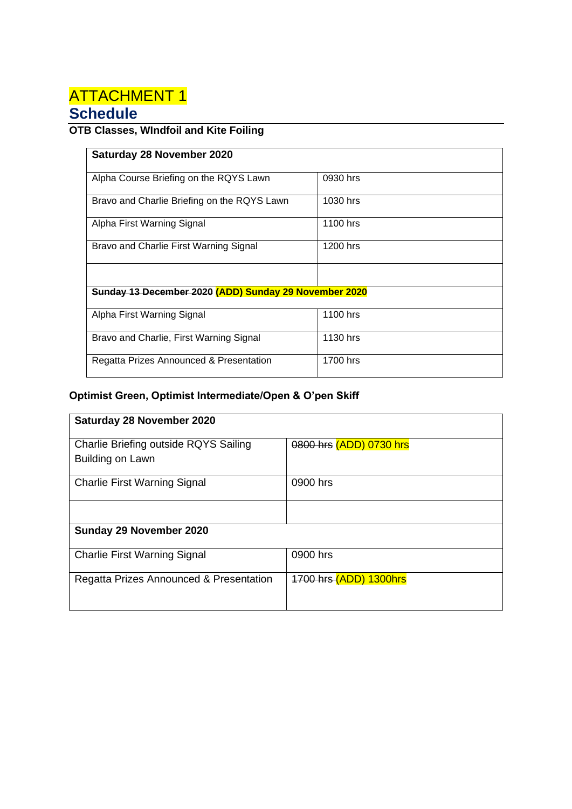## **ATTACHMENT 1 Schedule**

### **OTB Classes, WIndfoil and Kite Foiling**

| Saturday 28 November 2020                             |          |  |  |  |  |  |
|-------------------------------------------------------|----------|--|--|--|--|--|
|                                                       |          |  |  |  |  |  |
| Alpha Course Briefing on the RQYS Lawn                | 0930 hrs |  |  |  |  |  |
|                                                       |          |  |  |  |  |  |
| Bravo and Charlie Briefing on the RQYS Lawn           | 1030 hrs |  |  |  |  |  |
|                                                       |          |  |  |  |  |  |
| Alpha First Warning Signal                            | 1100 hrs |  |  |  |  |  |
|                                                       |          |  |  |  |  |  |
| Bravo and Charlie First Warning Signal                | 1200 hrs |  |  |  |  |  |
|                                                       |          |  |  |  |  |  |
|                                                       |          |  |  |  |  |  |
|                                                       |          |  |  |  |  |  |
| Sunday 13 December 2020 (ADD) Sunday 29 November 2020 |          |  |  |  |  |  |
|                                                       |          |  |  |  |  |  |
| Alpha First Warning Signal                            | 1100 hrs |  |  |  |  |  |
|                                                       |          |  |  |  |  |  |
| Bravo and Charlie, First Warning Signal               | 1130 hrs |  |  |  |  |  |
|                                                       |          |  |  |  |  |  |
| Regatta Prizes Announced & Presentation               | 1700 hrs |  |  |  |  |  |
|                                                       |          |  |  |  |  |  |

### **Optimist Green, Optimist Intermediate/Open & O'pen Skiff**

| <b>Saturday 28 November 2020</b>        |                         |  |  |  |  |
|-----------------------------------------|-------------------------|--|--|--|--|
|                                         |                         |  |  |  |  |
| Charlie Briefing outside RQYS Sailing   | 0800 hrs (ADD) 0730 hrs |  |  |  |  |
| Building on Lawn                        |                         |  |  |  |  |
|                                         |                         |  |  |  |  |
| <b>Charlie First Warning Signal</b>     | 0900 hrs                |  |  |  |  |
|                                         |                         |  |  |  |  |
|                                         |                         |  |  |  |  |
| Sunday 29 November 2020                 |                         |  |  |  |  |
|                                         |                         |  |  |  |  |
| <b>Charlie First Warning Signal</b>     | 0900 hrs                |  |  |  |  |
|                                         |                         |  |  |  |  |
| Regatta Prizes Announced & Presentation | 1700 hrs (ADD) 1300hrs  |  |  |  |  |
|                                         |                         |  |  |  |  |
|                                         |                         |  |  |  |  |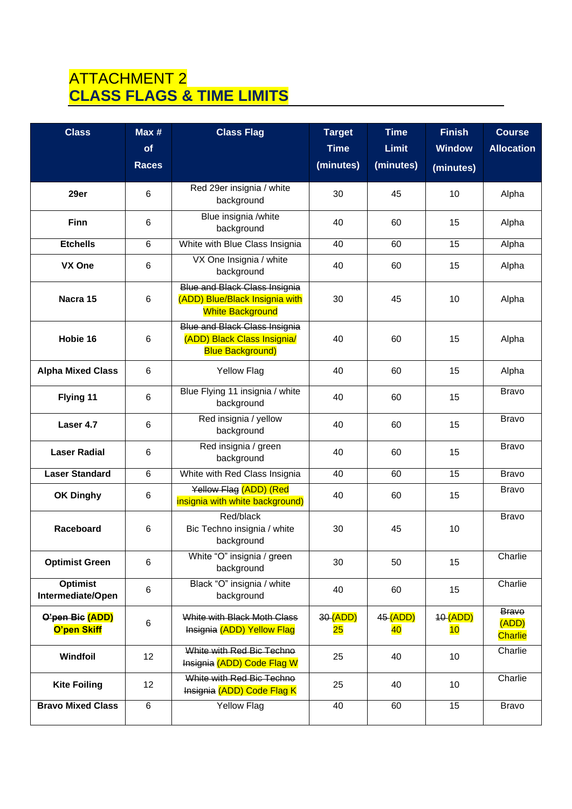## ATTACHMENT 2 **CLASS FLAGS & TIME LIMITS**

| <b>Class</b>                         | Max#<br>of     | <b>Class Flag</b>                                                                                 | <b>Target</b><br><b>Time</b> | <b>Time</b><br><b>Limit</b> | <b>Finish</b><br><b>Window</b> | <b>Course</b><br><b>Allocation</b>      |
|--------------------------------------|----------------|---------------------------------------------------------------------------------------------------|------------------------------|-----------------------------|--------------------------------|-----------------------------------------|
|                                      | <b>Races</b>   |                                                                                                   | (minutes)                    | (minutes)                   | (minutes)                      |                                         |
| 29er                                 | 6              | Red 29er insignia / white<br>background                                                           | 30                           | 45                          | 10                             | Alpha                                   |
| <b>Finn</b>                          | 6              | Blue insignia /white<br>background                                                                | 40                           | 60                          | 15                             | Alpha                                   |
| <b>Etchells</b>                      | $6\phantom{1}$ | White with Blue Class Insignia                                                                    | 40                           | 60                          | 15                             | Alpha                                   |
| VX One                               | 6              | VX One Insignia / white<br>background                                                             | 40                           | 60                          | 15                             | Alpha                                   |
| Nacra 15                             | 6              | <b>Blue and Black Class Insignia</b><br>(ADD) Blue/Black Insignia with<br><b>White Background</b> | 30                           | 45                          | 10                             | Alpha                                   |
| Hobie 16                             | 6              | <b>Blue and Black Class Insignia</b><br>(ADD) Black Class Insignia/<br><b>Blue Background)</b>    | 40                           | 60                          | 15                             | Alpha                                   |
| <b>Alpha Mixed Class</b>             | 6              | <b>Yellow Flag</b>                                                                                | 40                           | 60                          | 15                             | Alpha                                   |
| Flying 11                            | 6              | Blue Flying 11 insignia / white<br>background                                                     | 40                           | 60                          | 15                             | <b>Bravo</b>                            |
| Laser 4.7                            | 6              | Red insignia / yellow<br>background                                                               | 40                           | 60                          | 15                             | <b>Bravo</b>                            |
| <b>Laser Radial</b>                  | 6              | Red insignia / green<br>background                                                                | 40                           | 60                          | 15                             | <b>Bravo</b>                            |
| <b>Laser Standard</b>                | 6              | White with Red Class Insignia                                                                     | 40                           | 60                          | 15                             | <b>Bravo</b>                            |
| <b>OK Dinghy</b>                     | 6              | Yellow Flag (ADD) (Red<br>insignia with white background)                                         | 40                           | 60                          | 15                             | <b>Bravo</b>                            |
| Raceboard                            | 6              | Red/black<br>Bic Techno insignia / white<br>background                                            | 30                           | 45                          | 10                             | <b>Bravo</b>                            |
| <b>Optimist Green</b>                | 6              | White "O" insignia / green<br>background                                                          | 30                           | 50                          | 15                             | Charlie                                 |
| <b>Optimist</b><br>Intermediate/Open | 6              | Black "O" insignia / white<br>background                                                          | 40                           | 60                          | 15                             | Charlie                                 |
| O'pen Bic (ADD)<br>O'pen Skiff       | 6              | White with Black Moth Class<br>Insignia (ADD) Yellow Flag                                         | 30 (ADD)<br>$25\,$           | 45 (ADD)<br>40              | 40 (ADD)<br>10                 | <b>Brave</b><br>(ADD)<br><b>Charlie</b> |
| Windfoil                             | 12             | White with Red Bic Techno<br>Insignia (ADD) Code Flag W                                           | 25                           | 40                          | 10                             | Charlie                                 |
| <b>Kite Foiling</b>                  | 12             | White with Red Bic Techno<br>Insignia (ADD) Code Flag K                                           | 25                           | 40                          | 10                             | Charlie                                 |
| <b>Bravo Mixed Class</b>             | $\,6\,$        | <b>Yellow Flag</b>                                                                                | 40                           | 60                          | 15                             | Bravo                                   |